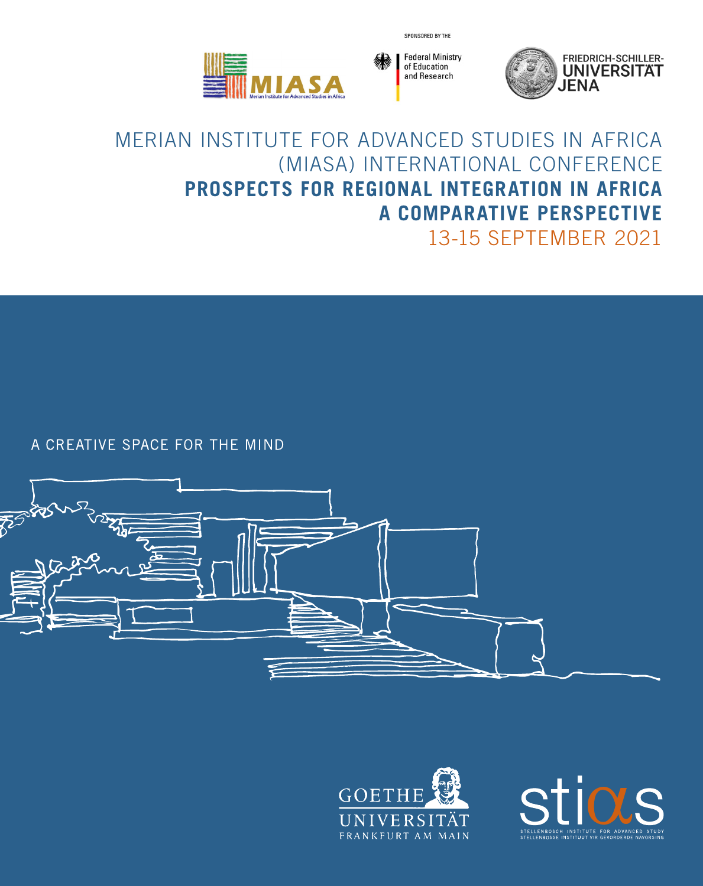**IIASA** 



SPONSORED BY THE



### MERIAN INSTITUTE FOR ADVANCED STUDIES IN AFRICA (MIASA) INTERNATIONAL CONFERENCE **PROSPECTS FOR REGIONAL INTEGRATION IN AFRICA A COMPARATIVE PERSPECTIVE** 13-15 SEPTEMBER 2021

A CREATIVE SPACE FOR THE MIND





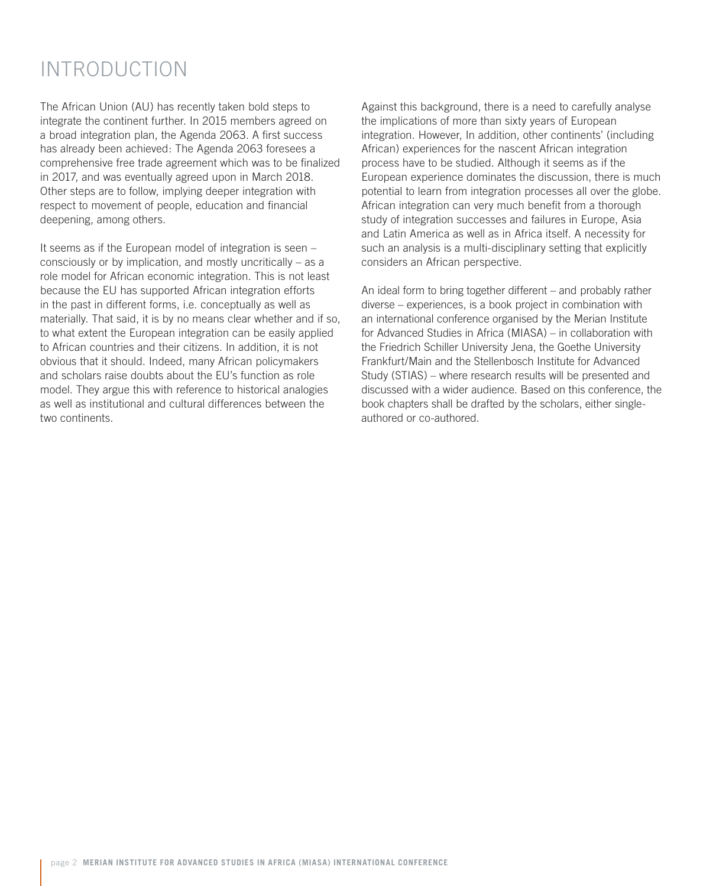# INTRODUCTION

The African Union (AU) has recently taken bold steps to integrate the continent further. In 2015 members agreed on a broad integration plan, the Agenda 2063. A first success has already been achieved: The Agenda 2063 foresees a comprehensive free trade agreement which was to be finalized in 2017, and was eventually agreed upon in March 2018. Other steps are to follow, implying deeper integration with respect to movement of people, education and financial deepening, among others.

It seems as if the European model of integration is seen – consciously or by implication, and mostly uncritically – as a role model for African economic integration. This is not least because the EU has supported African integration efforts in the past in different forms, i.e. conceptually as well as materially. That said, it is by no means clear whether and if so, to what extent the European integration can be easily applied to African countries and their citizens. In addition, it is not obvious that it should. Indeed, many African policymakers and scholars raise doubts about the EU's function as role model. They argue this with reference to historical analogies as well as institutional and cultural differences between the two continents.

Against this background, there is a need to carefully analyse the implications of more than sixty years of European integration. However, In addition, other continents' (including African) experiences for the nascent African integration process have to be studied. Although it seems as if the European experience dominates the discussion, there is much potential to learn from integration processes all over the globe. African integration can very much benefit from a thorough study of integration successes and failures in Europe, Asia and Latin America as well as in Africa itself. A necessity for such an analysis is a multi-disciplinary setting that explicitly considers an African perspective.

An ideal form to bring together different – and probably rather diverse – experiences, is a book project in combination with an international conference organised by the Merian Institute for Advanced Studies in Africa (MIASA) – in collaboration with the Friedrich Schiller University Jena, the Goethe University Frankfurt/Main and the Stellenbosch Institute for Advanced Study (STIAS) – where research results will be presented and discussed with a wider audience. Based on this conference, the book chapters shall be drafted by the scholars, either singleauthored or co-authored.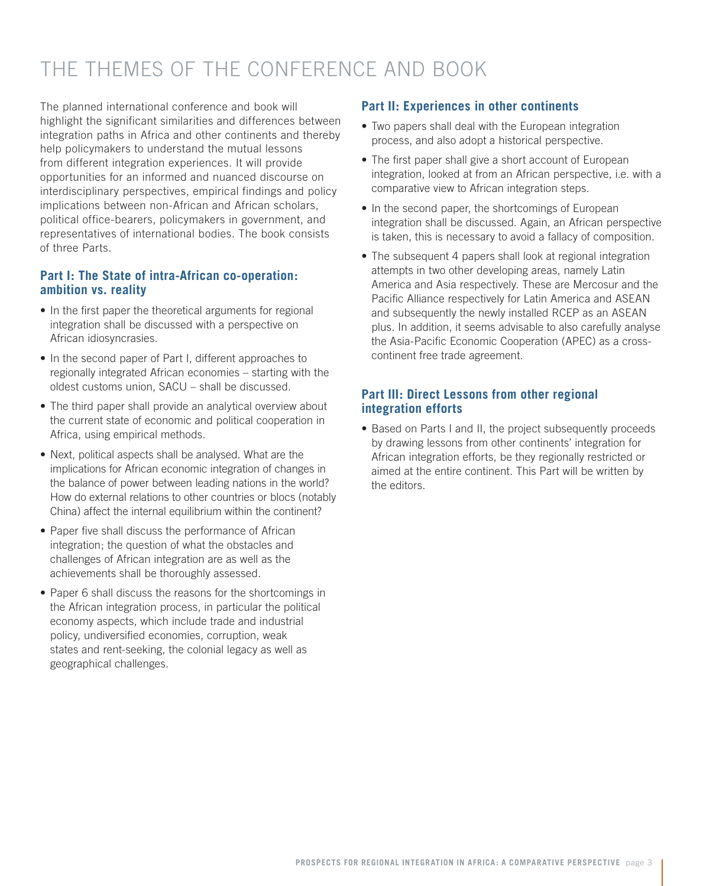# THE THEMES OF THE CONFERENCE AND BOOK

The planned international conference and book will highlight the significant similarities and differences between integration paths in Africa and other continents and thereby help policymakers to understand the mutual lessons from different integration experiences. It will provide opportunities for an informed and nuanced discourse on interdisciplinary perspectives, empirical findings and policy implications between non-African and African scholars, political office-bearers, policymakers in government, and representatives of international bodies. The book consists of three Parts.

### **Part I: The State of intra-African co-operation: ambition vs. reality**

- In the first paper the theoretical arguments for regional integration shall be discussed with a perspective on African idiosyncrasies.
- In the second paper of Part I, different approaches to regionally integrated African economies – starting with the oldest customs union, SACU – shall be discussed.
- The third paper shall provide an analytical overview about the current state of economic and political cooperation in Africa, using empirical methods.
- Next, political aspects shall be analysed. What are the implications for African economic integration of changes in the balance of power between leading nations in the world? How do external relations to other countries or blocs (notably China) affect the internal equilibrium within the continent?
- Paper five shall discuss the performance of African integration; the question of what the obstacles and challenges of African integration are as well as the achievements shall be thoroughly assessed.
- Paper 6 shall discuss the reasons for the shortcomings in the African integration process, in particular the political economy aspects, which include trade and industrial policy, undiversified economies, corruption, weak states and rent-seeking, the colonial legacy as well as geographical challenges.

### **Part II: Experiences in other continents**

- Two papers shall deal with the European integration process, and also adopt a historical perspective.
- The first paper shall give a short account of European integration, looked at from an African perspective, i.e. with a comparative view to African integration steps.
- In the second paper, the shortcomings of European integration shall be discussed. Again, an African perspective is taken, this is necessary to avoid a fallacy of composition.
- The subsequent 4 papers shall look at regional integration attempts in two other developing areas, namely Latin America and Asia respectively. These are Mercosur and the Pacific Alliance respectively for Latin America and ASEAN and subsequently the newly installed RCEP as an ASEAN plus. In addition, it seems advisable to also carefully analyse the Asia-Pacific Economic Cooperation (APEC) as a crosscontinent free trade agreement.

### **Part III: Direct Lessons from other regional integration efforts**

• Based on Parts I and II, the project subsequently proceeds by drawing lessons from other continents' integration for African integration efforts, be they regionally restricted or aimed at the entire continent. This Part will be written by the editors.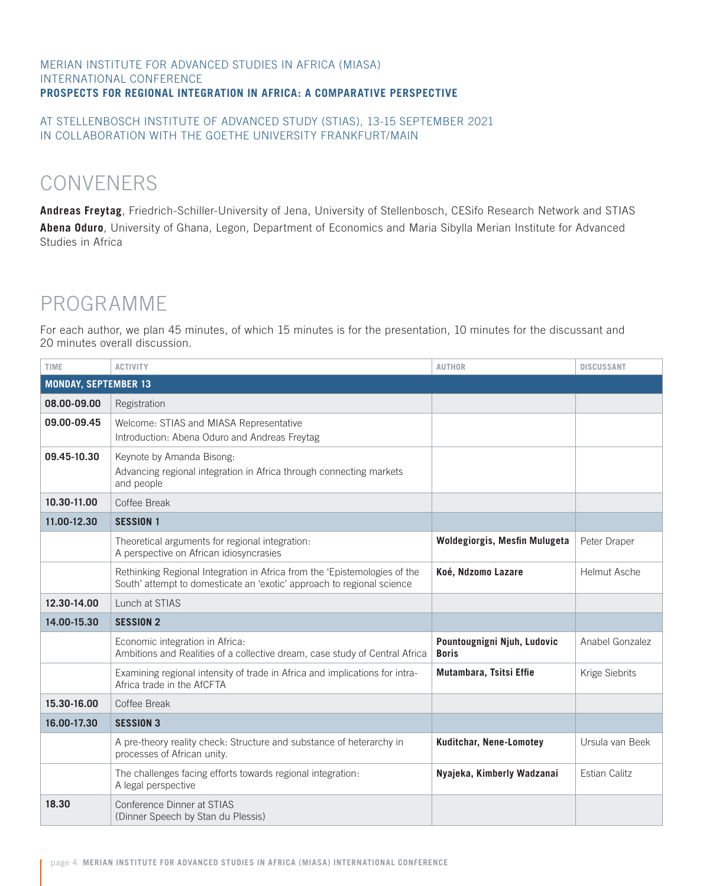#### MERIAN INSTITUTE FOR ADVANCED STUDIES IN AFRICA (MIASA) INTERNATIONAL CONFERENCE **PROSPECTS FOR REGIONAL INTEGRATION IN AFRICA: A COMPARATIVE PERSPECTIVE**

#### AT STELLENBOSCH INSTITUTE OF ADVANCED STUDY (STIAS), 13-15 SEPTEMBER 2021 IN COLLABORATION WITH THE GOETHE UNIVERSITY FRANKFURT/MAIN

# CONVENERS

**Andreas Freytag**, Friedrich-Schiller-University of Jena, University of Stellenbosch, CESifo Research Network and STIAS **Abena Oduro**, University of Ghana, Legon, Department of Economics and Maria Sibylla Merian Institute for Advanced Studies in Africa

# PROGRAMME

For each author, we plan 45 minutes, of which 15 minutes is for the presentation, 10 minutes for the discussant and 20 minutes overall discussion.

| <b>TIME</b>                 | <b>ACTIVITY</b>                                                                                                                                     | <b>AUTHOR</b>                               | <b>DISCUSSANT</b>    |  |
|-----------------------------|-----------------------------------------------------------------------------------------------------------------------------------------------------|---------------------------------------------|----------------------|--|
| <b>MONDAY, SEPTEMBER 13</b> |                                                                                                                                                     |                                             |                      |  |
| 08.00-09.00                 | Registration                                                                                                                                        |                                             |                      |  |
| 09.00-09.45                 | Welcome: STIAS and MIASA Representative<br>Introduction: Abena Oduro and Andreas Freytag                                                            |                                             |                      |  |
| 09.45-10.30                 | Keynote by Amanda Bisong:<br>Advancing regional integration in Africa through connecting markets<br>and people                                      |                                             |                      |  |
| 10.30-11.00                 | Coffee Break                                                                                                                                        |                                             |                      |  |
| 11.00-12.30                 | <b>SESSION 1</b>                                                                                                                                    |                                             |                      |  |
|                             | Theoretical arguments for regional integration:<br>A perspective on African idiosyncrasies                                                          | Woldegiorgis, Mesfin Mulugeta               | Peter Draper         |  |
|                             | Rethinking Regional Integration in Africa from the 'Epistemologies of the<br>South' attempt to domesticate an 'exotic' approach to regional science | Koé, Ndzomo Lazare                          | <b>Helmut Asche</b>  |  |
| 12.30-14.00                 | Lunch at STIAS                                                                                                                                      |                                             |                      |  |
| 14.00-15.30                 | <b>SESSION 2</b>                                                                                                                                    |                                             |                      |  |
|                             | Economic integration in Africa:<br>Ambitions and Realities of a collective dream, case study of Central Africa                                      | Pountougnigni Njuh, Ludovic<br><b>Boris</b> | Anabel Gonzalez      |  |
|                             | Examining regional intensity of trade in Africa and implications for intra-<br>Africa trade in the AfCFTA                                           | Mutambara, Tsitsi Effie                     | Krige Siebrits       |  |
| 15.30-16.00                 | Coffee Break                                                                                                                                        |                                             |                      |  |
| 16.00-17.30                 | <b>SESSION 3</b>                                                                                                                                    |                                             |                      |  |
|                             | A pre-theory reality check: Structure and substance of heterarchy in<br>processes of African unity.                                                 | <b>Kuditchar, Nene-Lomotey</b>              | Ursula van Beek      |  |
|                             | The challenges facing efforts towards regional integration:<br>A legal perspective                                                                  | Nyajeka, Kimberly Wadzanai                  | <b>Estian Calitz</b> |  |
| 18.30                       | Conference Dinner at STIAS<br>(Dinner Speech by Stan du Plessis)                                                                                    |                                             |                      |  |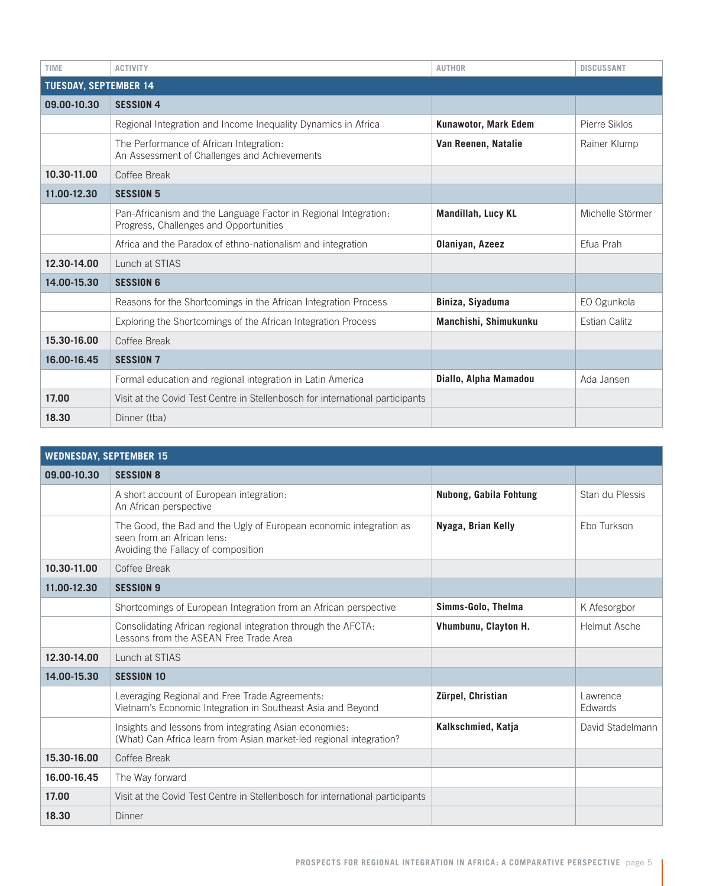| <b>TIME</b>                  | <b>ACTIVITY</b>                                                                                           | <b>AUTHOR</b>               | <b>DISCUSSANT</b> |
|------------------------------|-----------------------------------------------------------------------------------------------------------|-----------------------------|-------------------|
| <b>TUESDAY, SEPTEMBER 14</b> |                                                                                                           |                             |                   |
| 09.00-10.30                  | <b>SESSION 4</b>                                                                                          |                             |                   |
|                              | Regional Integration and Income Inequality Dynamics in Africa                                             | <b>Kunawotor, Mark Edem</b> | Pierre Siklos     |
|                              | The Performance of African Integration:<br>An Assessment of Challenges and Achievements                   | Van Reenen, Natalie         | Rainer Klump      |
| 10.30-11.00                  | Coffee Break                                                                                              |                             |                   |
| 11.00-12.30                  | <b>SESSION 5</b>                                                                                          |                             |                   |
|                              | Pan-Africanism and the Language Factor in Regional Integration:<br>Progress, Challenges and Opportunities | <b>Mandillah, Lucy KL</b>   | Michelle Störmer  |
|                              | Africa and the Paradox of ethno-nationalism and integration                                               | Olaniyan, Azeez             | Efua Prah         |
| 12.30-14.00                  | Lunch at STIAS                                                                                            |                             |                   |
| 14.00-15.30                  | <b>SESSION 6</b>                                                                                          |                             |                   |
|                              | Reasons for the Shortcomings in the African Integration Process                                           | Biniza, Siyaduma            | EO Ogunkola       |
|                              | Exploring the Shortcomings of the African Integration Process                                             | Manchishi, Shimukunku       | Estian Calitz     |
| 15.30-16.00                  | Coffee Break                                                                                              |                             |                   |
| 16.00-16.45                  | <b>SESSION 7</b>                                                                                          |                             |                   |
|                              | Formal education and regional integration in Latin America                                                | Diallo, Alpha Mamadou       | Ada Jansen        |
| 17.00                        | Visit at the Covid Test Centre in Stellenbosch for international participants                             |                             |                   |
| 18.30                        | Dinner (tba)                                                                                              |                             |                   |

| <b>WEDNESDAY, SEPTEMBER 15</b> |                                                                                                                                         |                        |                            |
|--------------------------------|-----------------------------------------------------------------------------------------------------------------------------------------|------------------------|----------------------------|
| 09.00-10.30                    | <b>SESSION 8</b>                                                                                                                        |                        |                            |
|                                | A short account of European integration:<br>An African perspective                                                                      | Nubong, Gabila Fohtung | Stan du Plessis            |
|                                | The Good, the Bad and the Ugly of European economic integration as<br>seen from an African lens:<br>Avoiding the Fallacy of composition | Nyaga, Brian Kelly     | Ebo Turkson                |
| 10.30-11.00                    | Coffee Break                                                                                                                            |                        |                            |
| 11.00-12.30                    | <b>SESSION 9</b>                                                                                                                        |                        |                            |
|                                | Shortcomings of European Integration from an African perspective                                                                        | Simms-Golo, Thelma     | K Afesorgbor               |
|                                | Consolidating African regional integration through the AFCTA:<br>Lessons from the ASEAN Free Trade Area                                 | Vhumbunu, Clayton H.   | <b>Helmut Asche</b>        |
| 12.30-14.00                    | Lunch at STIAS                                                                                                                          |                        |                            |
| 14.00-15.30                    | <b>SESSION 10</b>                                                                                                                       |                        |                            |
|                                | Leveraging Regional and Free Trade Agreements:<br>Vietnam's Economic Integration in Southeast Asia and Beyond                           | Zürpel, Christian      | Lawrence<br><b>Edwards</b> |
|                                | Insights and lessons from integrating Asian economies:<br>(What) Can Africa learn from Asian market-led regional integration?           | Kalkschmied, Katja     | David Stadelmann           |
| 15.30-16.00                    | Coffee Break                                                                                                                            |                        |                            |
| 16.00-16.45                    | The Way forward                                                                                                                         |                        |                            |
| 17.00                          | Visit at the Covid Test Centre in Stellenbosch for international participants                                                           |                        |                            |
| 18.30                          | <b>Dinner</b>                                                                                                                           |                        |                            |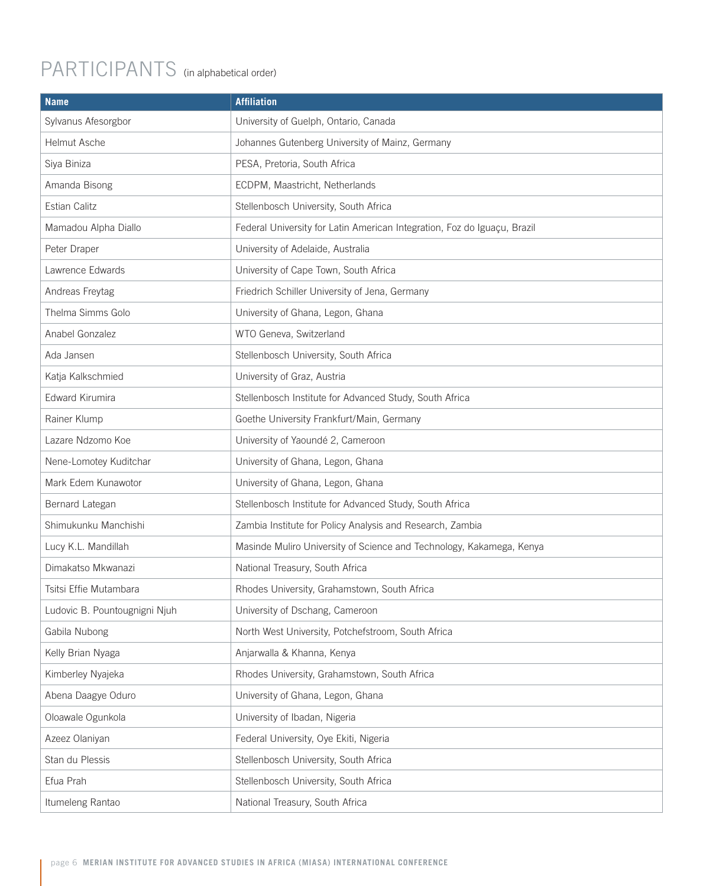# PARTICIPANTS (in alphabetical order)

| <b>Name</b>                   | <b>Affiliation</b>                                                       |
|-------------------------------|--------------------------------------------------------------------------|
| Sylvanus Afesorgbor           | University of Guelph, Ontario, Canada                                    |
| Helmut Asche                  | Johannes Gutenberg University of Mainz, Germany                          |
| Siya Biniza                   | PESA, Pretoria, South Africa                                             |
| Amanda Bisong                 | ECDPM, Maastricht, Netherlands                                           |
| Estian Calitz                 | Stellenbosch University, South Africa                                    |
| Mamadou Alpha Diallo          | Federal University for Latin American Integration, Foz do Iguaçu, Brazil |
| Peter Draper                  | University of Adelaide, Australia                                        |
| Lawrence Edwards              | University of Cape Town, South Africa                                    |
| Andreas Freytag               | Friedrich Schiller University of Jena, Germany                           |
| Thelma Simms Golo             | University of Ghana, Legon, Ghana                                        |
| Anabel Gonzalez               | WTO Geneva, Switzerland                                                  |
| Ada Jansen                    | Stellenbosch University, South Africa                                    |
| Katja Kalkschmied             | University of Graz, Austria                                              |
| Edward Kirumira               | Stellenbosch Institute for Advanced Study, South Africa                  |
| Rainer Klump                  | Goethe University Frankfurt/Main, Germany                                |
| Lazare Ndzomo Koe             | University of Yaoundé 2, Cameroon                                        |
| Nene-Lomotey Kuditchar        | University of Ghana, Legon, Ghana                                        |
| Mark Edem Kunawotor           | University of Ghana, Legon, Ghana                                        |
| Bernard Lategan               | Stellenbosch Institute for Advanced Study, South Africa                  |
| Shimukunku Manchishi          | Zambia Institute for Policy Analysis and Research, Zambia                |
| Lucy K.L. Mandillah           | Masinde Muliro University of Science and Technology, Kakamega, Kenya     |
| Dimakatso Mkwanazi            | National Treasury, South Africa                                          |
| Tsitsi Effie Mutambara        | Rhodes University, Grahamstown, South Africa                             |
| Ludovic B. Pountougnigni Njuh | University of Dschang, Cameroon                                          |
| Gabila Nubong                 | North West University, Potchefstroom, South Africa                       |
| Kelly Brian Nyaga             | Anjarwalla & Khanna, Kenya                                               |
| Kimberley Nyajeka             | Rhodes University, Grahamstown, South Africa                             |
| Abena Daagye Oduro            | University of Ghana, Legon, Ghana                                        |
| Oloawale Ogunkola             | University of Ibadan, Nigeria                                            |
| Azeez Olaniyan                | Federal University, Oye Ekiti, Nigeria                                   |
| Stan du Plessis               | Stellenbosch University, South Africa                                    |
| Efua Prah                     | Stellenbosch University, South Africa                                    |
| Itumeleng Rantao              | National Treasury, South Africa                                          |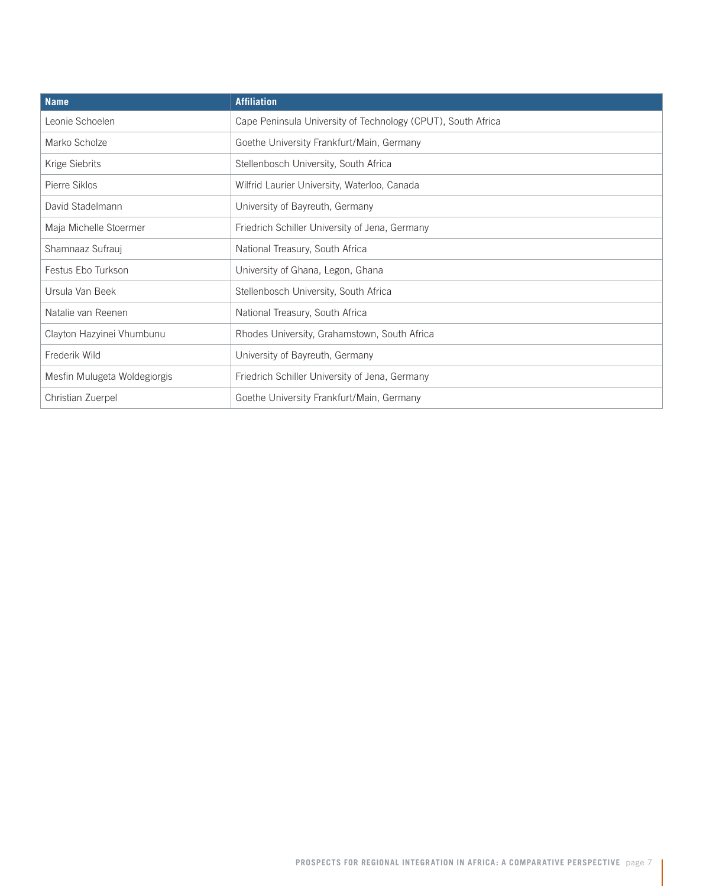| <b>Name</b>                  | <b>Affiliation</b>                                           |
|------------------------------|--------------------------------------------------------------|
| Leonie Schoelen              | Cape Peninsula University of Technology (CPUT), South Africa |
| Marko Scholze                | Goethe University Frankfurt/Main, Germany                    |
| Krige Siebrits               | Stellenbosch University, South Africa                        |
| Pierre Siklos                | Wilfrid Laurier University, Waterloo, Canada                 |
| David Stadelmann             | University of Bayreuth, Germany                              |
| Maja Michelle Stoermer       | Friedrich Schiller University of Jena, Germany               |
| Shamnaaz Sufrauj             | National Treasury, South Africa                              |
| Festus Ebo Turkson           | University of Ghana, Legon, Ghana                            |
| Ursula Van Beek              | Stellenbosch University, South Africa                        |
| Natalie van Reenen           | National Treasury, South Africa                              |
| Clayton Hazyinei Vhumbunu    | Rhodes University, Grahamstown, South Africa                 |
| Frederik Wild                | University of Bayreuth, Germany                              |
| Mesfin Mulugeta Woldegiorgis | Friedrich Schiller University of Jena, Germany               |
| Christian Zuerpel            | Goethe University Frankfurt/Main, Germany                    |